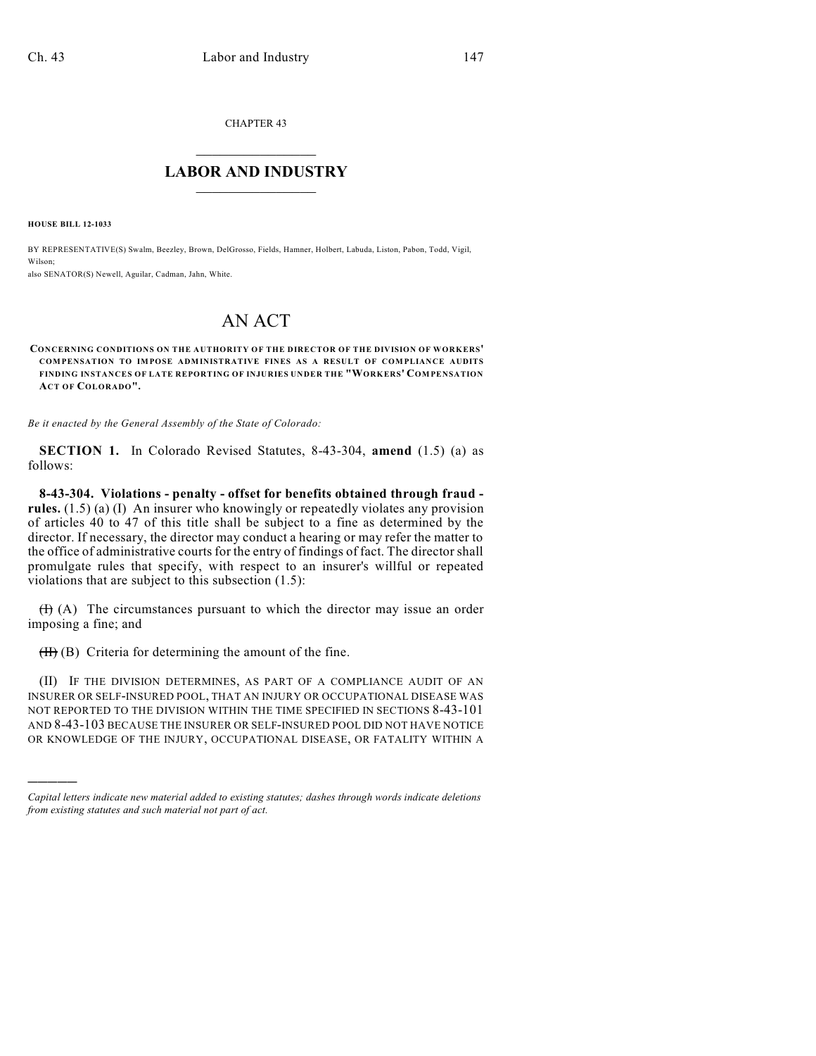CHAPTER 43

## $\overline{\phantom{a}}$  . The set of the set of the set of the set of the set of the set of the set of the set of the set of the set of the set of the set of the set of the set of the set of the set of the set of the set of the set o **LABOR AND INDUSTRY**  $\frac{1}{\sqrt{2}}$  ,  $\frac{1}{\sqrt{2}}$  ,  $\frac{1}{\sqrt{2}}$  ,  $\frac{1}{\sqrt{2}}$  ,  $\frac{1}{\sqrt{2}}$  ,  $\frac{1}{\sqrt{2}}$

**HOUSE BILL 12-1033**

)))))

BY REPRESENTATIVE(S) Swalm, Beezley, Brown, DelGrosso, Fields, Hamner, Holbert, Labuda, Liston, Pabon, Todd, Vigil, Wilson;

also SENATOR(S) Newell, Aguilar, Cadman, Jahn, White.

## AN ACT

**CONCERNING CONDITIONS ON THE AUTHORITY OF THE DIRECTOR OF THE DIVISION OF WORKERS' COMPENSATION TO IMPOSE ADMINISTRATIVE FINES AS A RESULT OF COMPLIANCE AUDITS FINDING INSTANCES OF LATE REPORTING OF INJURIES UNDER THE "WORKERS' COMPENSATION ACT OF COLORADO".**

*Be it enacted by the General Assembly of the State of Colorado:*

**SECTION 1.** In Colorado Revised Statutes, 8-43-304, **amend** (1.5) (a) as follows:

**8-43-304. Violations - penalty - offset for benefits obtained through fraud rules.** (1.5) (a) (I) An insurer who knowingly or repeatedly violates any provision of articles 40 to 47 of this title shall be subject to a fine as determined by the director. If necessary, the director may conduct a hearing or may refer the matter to the office of administrative courts for the entry of findings of fact. The director shall promulgate rules that specify, with respect to an insurer's willful or repeated violations that are subject to this subsection (1.5):

 $(H)$  (A) The circumstances pursuant to which the director may issue an order imposing a fine; and

 $(H)$  (B) Criteria for determining the amount of the fine.

(II) IF THE DIVISION DETERMINES, AS PART OF A COMPLIANCE AUDIT OF AN INSURER OR SELF-INSURED POOL, THAT AN INJURY OR OCCUPATIONAL DISEASE WAS NOT REPORTED TO THE DIVISION WITHIN THE TIME SPECIFIED IN SECTIONS 8-43-101 AND 8-43-103 BECAUSE THE INSURER OR SELF-INSURED POOL DID NOT HAVE NOTICE OR KNOWLEDGE OF THE INJURY, OCCUPATIONAL DISEASE, OR FATALITY WITHIN A

*Capital letters indicate new material added to existing statutes; dashes through words indicate deletions from existing statutes and such material not part of act.*